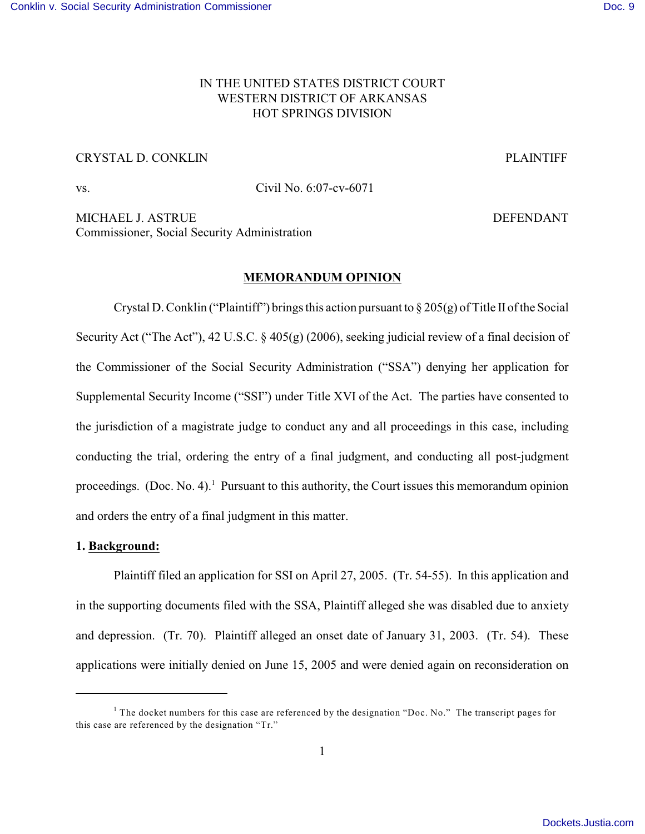# IN THE UNITED STATES DISTRICT COURT WESTERN DISTRICT OF ARKANSAS HOT SPRINGS DIVISION

## CRYSTAL D. CONKLIN PLAINTIFF

vs. Civil No. 6:07-cv-6071

MICHAEL J. ASTRUE **DEFENDANT** Commissioner, Social Security Administration

#### **MEMORANDUM OPINION**

Crystal D. Conklin ("Plaintiff") brings this action pursuant to  $\S 205(g)$  of Title II of the Social Security Act ("The Act"), 42 U.S.C. § 405(g) (2006), seeking judicial review of a final decision of the Commissioner of the Social Security Administration ("SSA") denying her application for Supplemental Security Income ("SSI") under Title XVI of the Act. The parties have consented to the jurisdiction of a magistrate judge to conduct any and all proceedings in this case, including conducting the trial, ordering the entry of a final judgment, and conducting all post-judgment proceedings. (Doc. No. 4). Pursuant to this authority, the Court issues this memorandum opinion and orders the entry of a final judgment in this matter.

### **1. Background:**

Plaintiff filed an application for SSI on April 27, 2005. (Tr. 54-55). In this application and in the supporting documents filed with the SSA, Plaintiff alleged she was disabled due to anxiety and depression. (Tr. 70). Plaintiff alleged an onset date of January 31, 2003. (Tr. 54). These applications were initially denied on June 15, 2005 and were denied again on reconsideration on

<sup>&</sup>lt;sup>1</sup> The docket numbers for this case are referenced by the designation "Doc. No." The transcript pages for this case are referenced by the designation "Tr."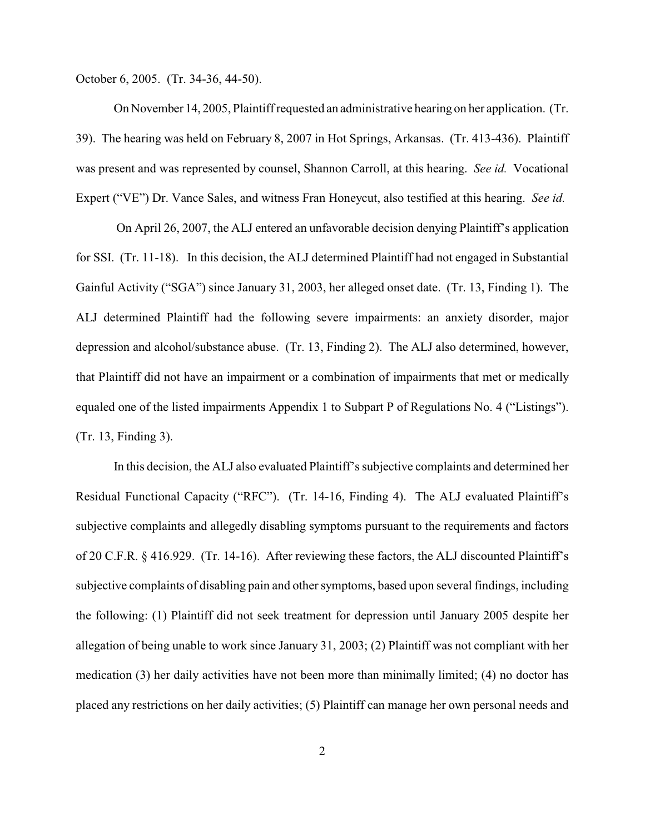October 6, 2005. (Tr. 34-36, 44-50).

On November 14, 2005, Plaintiff requested an administrative hearing on her application. (Tr. 39). The hearing was held on February 8, 2007 in Hot Springs, Arkansas. (Tr. 413-436). Plaintiff was present and was represented by counsel, Shannon Carroll, at this hearing. *See id.* Vocational Expert ("VE") Dr. Vance Sales, and witness Fran Honeycut, also testified at this hearing. *See id.* 

On April 26, 2007, the ALJ entered an unfavorable decision denying Plaintiff's application for SSI. (Tr. 11-18). In this decision, the ALJ determined Plaintiff had not engaged in Substantial Gainful Activity ("SGA") since January 31, 2003, her alleged onset date. (Tr. 13, Finding 1). The ALJ determined Plaintiff had the following severe impairments: an anxiety disorder, major depression and alcohol/substance abuse. (Tr. 13, Finding 2). The ALJ also determined, however, that Plaintiff did not have an impairment or a combination of impairments that met or medically equaled one of the listed impairments Appendix 1 to Subpart P of Regulations No. 4 ("Listings"). (Tr. 13, Finding 3).

In this decision, the ALJ also evaluated Plaintiff's subjective complaints and determined her Residual Functional Capacity ("RFC"). (Tr. 14-16, Finding 4). The ALJ evaluated Plaintiff's subjective complaints and allegedly disabling symptoms pursuant to the requirements and factors of 20 C.F.R. § 416.929. (Tr. 14-16). After reviewing these factors, the ALJ discounted Plaintiff's subjective complaints of disabling pain and other symptoms, based upon several findings, including the following: (1) Plaintiff did not seek treatment for depression until January 2005 despite her allegation of being unable to work since January 31, 2003; (2) Plaintiff was not compliant with her medication (3) her daily activities have not been more than minimally limited; (4) no doctor has placed any restrictions on her daily activities; (5) Plaintiff can manage her own personal needs and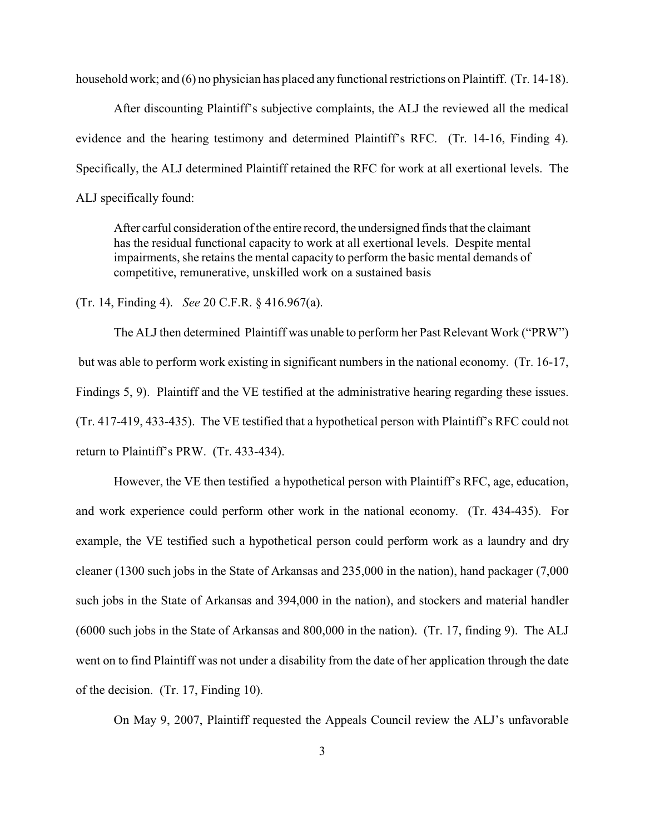household work; and (6) no physician has placed any functional restrictions on Plaintiff. (Tr. 14-18).

After discounting Plaintiff's subjective complaints, the ALJ the reviewed all the medical evidence and the hearing testimony and determined Plaintiff's RFC. (Tr. 14-16, Finding 4). Specifically, the ALJ determined Plaintiff retained the RFC for work at all exertional levels. The ALJ specifically found:

After carful consideration ofthe entire record, the undersigned finds that the claimant has the residual functional capacity to work at all exertional levels. Despite mental impairments, she retains the mental capacity to perform the basic mental demands of competitive, remunerative, unskilled work on a sustained basis

(Tr. 14, Finding 4). *See* 20 C.F.R. § 416.967(a).

The ALJ then determined Plaintiff was unable to perform her Past Relevant Work ("PRW") but was able to perform work existing in significant numbers in the national economy. (Tr. 16-17, Findings 5, 9). Plaintiff and the VE testified at the administrative hearing regarding these issues. (Tr. 417-419, 433-435). The VE testified that a hypothetical person with Plaintiff's RFC could not return to Plaintiff's PRW. (Tr. 433-434).

However, the VE then testified a hypothetical person with Plaintiff's RFC, age, education, and work experience could perform other work in the national economy. (Tr. 434-435). For example, the VE testified such a hypothetical person could perform work as a laundry and dry cleaner (1300 such jobs in the State of Arkansas and 235,000 in the nation), hand packager (7,000 such jobs in the State of Arkansas and 394,000 in the nation), and stockers and material handler (6000 such jobs in the State of Arkansas and 800,000 in the nation). (Tr. 17, finding 9). The ALJ went on to find Plaintiff was not under a disability from the date of her application through the date of the decision. (Tr. 17, Finding 10).

On May 9, 2007, Plaintiff requested the Appeals Council review the ALJ's unfavorable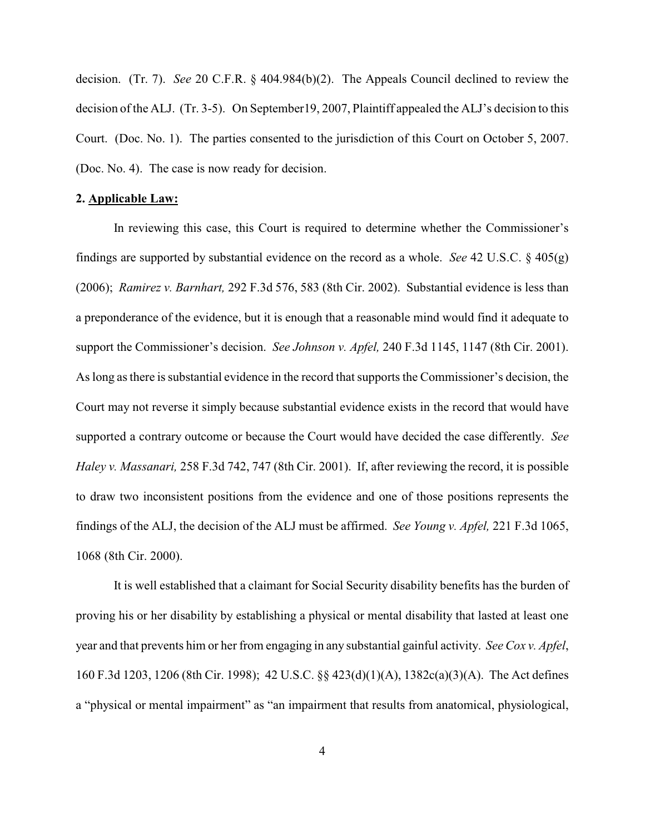decision. (Tr. 7). *See* 20 C.F.R. § 404.984(b)(2). The Appeals Council declined to review the decision of the ALJ. (Tr. 3-5). On September19, 2007, Plaintiff appealed the ALJ's decision to this Court. (Doc. No. 1). The parties consented to the jurisdiction of this Court on October 5, 2007. (Doc. No. 4). The case is now ready for decision.

### **2. Applicable Law:**

In reviewing this case, this Court is required to determine whether the Commissioner's findings are supported by substantial evidence on the record as a whole. *See* 42 U.S.C. § 405(g) (2006); *Ramirez v. Barnhart,* 292 F.3d 576, 583 (8th Cir. 2002). Substantial evidence is less than a preponderance of the evidence, but it is enough that a reasonable mind would find it adequate to support the Commissioner's decision. *See Johnson v. Apfel,* 240 F.3d 1145, 1147 (8th Cir. 2001). As long as there is substantial evidence in the record that supports the Commissioner's decision, the Court may not reverse it simply because substantial evidence exists in the record that would have supported a contrary outcome or because the Court would have decided the case differently. *See Haley v. Massanari,* 258 F.3d 742, 747 (8th Cir. 2001). If, after reviewing the record, it is possible to draw two inconsistent positions from the evidence and one of those positions represents the findings of the ALJ, the decision of the ALJ must be affirmed. *See Young v. Apfel,* 221 F.3d 1065, 1068 (8th Cir. 2000).

It is well established that a claimant for Social Security disability benefits has the burden of proving his or her disability by establishing a physical or mental disability that lasted at least one year and that prevents him or her from engaging in any substantial gainful activity. *See Cox v. Apfel*, 160 F.3d 1203, 1206 (8th Cir. 1998); 42 U.S.C. §§ 423(d)(1)(A), 1382c(a)(3)(A). The Act defines a "physical or mental impairment" as "an impairment that results from anatomical, physiological,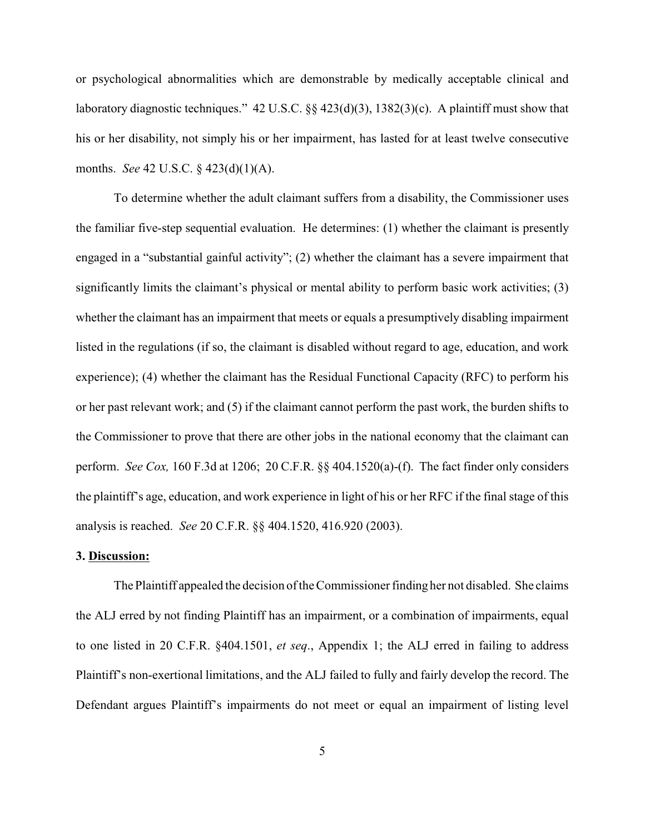or psychological abnormalities which are demonstrable by medically acceptable clinical and laboratory diagnostic techniques." 42 U.S.C. §§ 423(d)(3), 1382(3)(c). A plaintiff must show that his or her disability, not simply his or her impairment, has lasted for at least twelve consecutive months. *See* 42 U.S.C. § 423(d)(1)(A).

To determine whether the adult claimant suffers from a disability, the Commissioner uses the familiar five-step sequential evaluation. He determines: (1) whether the claimant is presently engaged in a "substantial gainful activity"; (2) whether the claimant has a severe impairment that significantly limits the claimant's physical or mental ability to perform basic work activities; (3) whether the claimant has an impairment that meets or equals a presumptively disabling impairment listed in the regulations (if so, the claimant is disabled without regard to age, education, and work experience); (4) whether the claimant has the Residual Functional Capacity (RFC) to perform his or her past relevant work; and (5) if the claimant cannot perform the past work, the burden shifts to the Commissioner to prove that there are other jobs in the national economy that the claimant can perform. *See Cox,* 160 F.3d at 1206; 20 C.F.R. §§ 404.1520(a)-(f). The fact finder only considers the plaintiff's age, education, and work experience in light of his or her RFC if the final stage of this analysis is reached. *See* 20 C.F.R. §§ 404.1520, 416.920 (2003).

### **3. Discussion:**

The Plaintiff appealed the decision of the Commissioner finding her not disabled. She claims the ALJ erred by not finding Plaintiff has an impairment, or a combination of impairments, equal to one listed in 20 C.F.R. §404.1501, *et seq*., Appendix 1; the ALJ erred in failing to address Plaintiff's non-exertional limitations, and the ALJ failed to fully and fairly develop the record. The Defendant argues Plaintiff's impairments do not meet or equal an impairment of listing level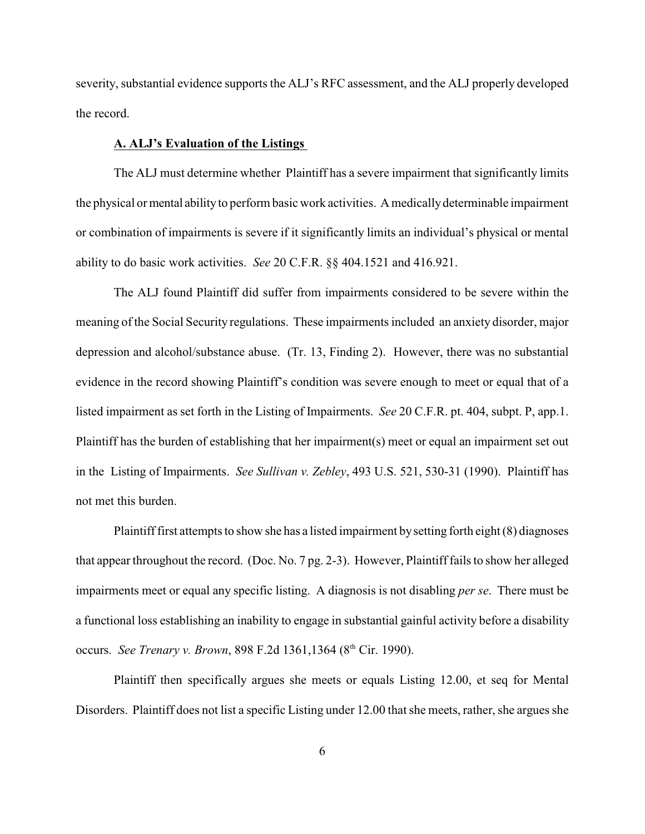severity, substantial evidence supports the ALJ's RFC assessment, and the ALJ properly developed the record.

### **A. ALJ's Evaluation of the Listings**

The ALJ must determine whether Plaintiff has a severe impairment that significantly limits the physical or mental ability to perform basic work activities. A medically determinable impairment or combination of impairments is severe if it significantly limits an individual's physical or mental ability to do basic work activities. *See* 20 C.F.R. §§ 404.1521 and 416.921.

The ALJ found Plaintiff did suffer from impairments considered to be severe within the meaning of the Social Security regulations. These impairments included an anxiety disorder, major depression and alcohol/substance abuse. (Tr. 13, Finding 2). However, there was no substantial evidence in the record showing Plaintiff's condition was severe enough to meet or equal that of a listed impairment as set forth in the Listing of Impairments. *See* 20 C.F.R. pt. 404, subpt. P, app.1. Plaintiff has the burden of establishing that her impairment(s) meet or equal an impairment set out in the Listing of Impairments. *See Sullivan v. Zebley*, 493 U.S. 521, 530-31 (1990). Plaintiff has not met this burden.

Plaintiff first attempts to show she has a listed impairment bysetting forth eight (8) diagnoses that appear throughout the record. (Doc. No. 7 pg. 2-3). However, Plaintiff fails to show her alleged impairments meet or equal any specific listing. A diagnosis is not disabling *per se*. There must be a functional loss establishing an inability to engage in substantial gainful activity before a disability occurs. *See Trenary v. Brown*, 898 F.2d 1361, 1364 (8<sup>th</sup> Cir. 1990).

Plaintiff then specifically argues she meets or equals Listing 12.00, et seq for Mental Disorders. Plaintiff does not list a specific Listing under 12.00 that she meets, rather, she argues she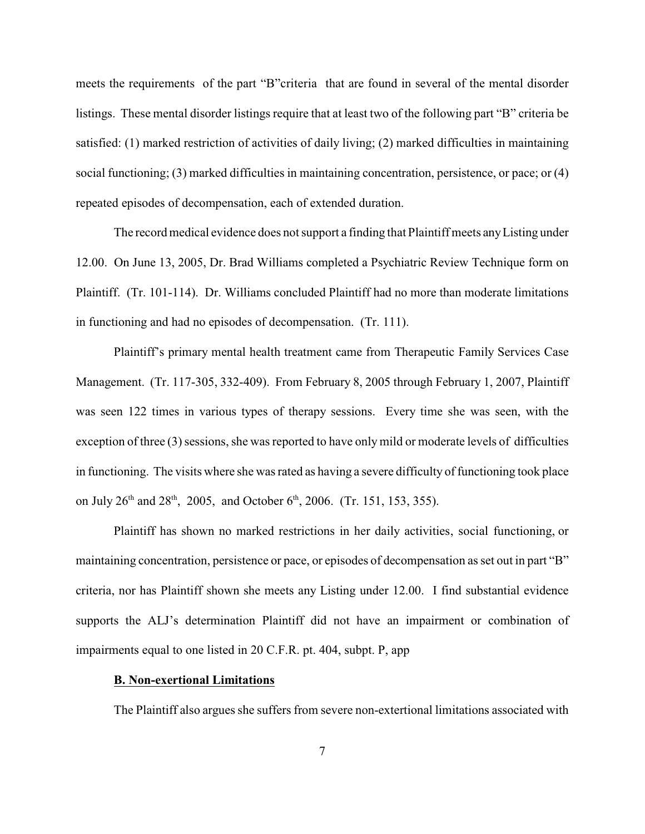meets the requirements of the part "B"criteria that are found in several of the mental disorder listings. These mental disorder listings require that at least two of the following part "B" criteria be satisfied: (1) marked restriction of activities of daily living; (2) marked difficulties in maintaining social functioning; (3) marked difficulties in maintaining concentration, persistence, or pace; or (4) repeated episodes of decompensation, each of extended duration.

The record medical evidence does not support a finding that Plaintiff meets any Listing under 12.00. On June 13, 2005, Dr. Brad Williams completed a Psychiatric Review Technique form on Plaintiff. (Tr. 101-114). Dr. Williams concluded Plaintiff had no more than moderate limitations in functioning and had no episodes of decompensation. (Tr. 111).

Plaintiff's primary mental health treatment came from Therapeutic Family Services Case Management. (Tr. 117-305, 332-409). From February 8, 2005 through February 1, 2007, Plaintiff was seen 122 times in various types of therapy sessions. Every time she was seen, with the exception of three (3) sessions, she was reported to have only mild or moderate levels of difficulties in functioning. The visits where she was rated as having a severe difficulty of functioning took place on July  $26<sup>th</sup>$  and  $28<sup>th</sup>$ , 2005, and October  $6<sup>th</sup>$ , 2006. (Tr. 151, 153, 355).

Plaintiff has shown no marked restrictions in her daily activities, social functioning, or maintaining concentration, persistence or pace, or episodes of decompensation as set out in part "B" criteria, nor has Plaintiff shown she meets any Listing under 12.00. I find substantial evidence supports the ALJ's determination Plaintiff did not have an impairment or combination of impairments equal to one listed in 20 C.F.R. pt. 404, subpt. P, app

#### **B. Non-exertional Limitations**

The Plaintiff also argues she suffers from severe non-extertional limitations associated with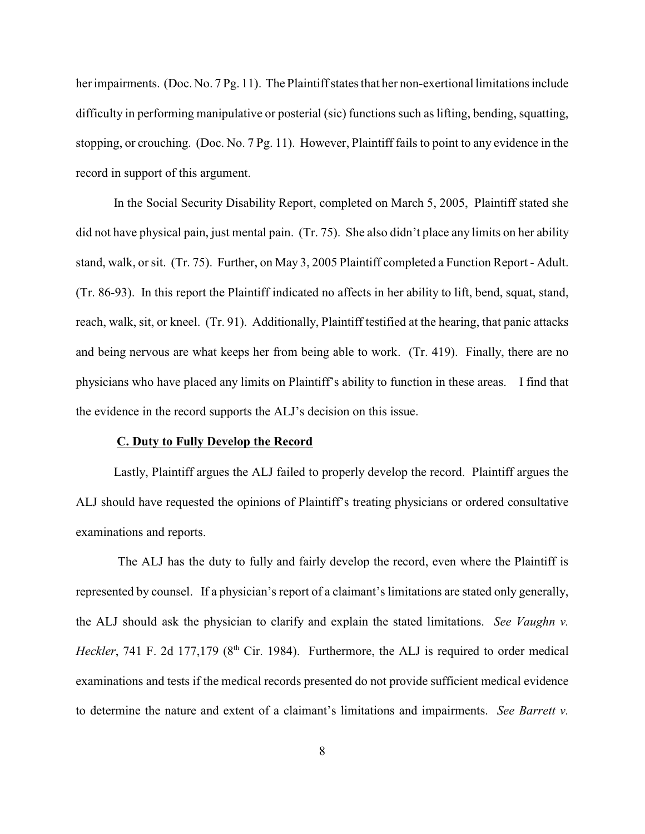her impairments. (Doc. No. 7 Pg. 11). The Plaintiff states that her non-exertional limitations include difficulty in performing manipulative or posterial (sic) functions such as lifting, bending, squatting, stopping, or crouching. (Doc. No. 7 Pg. 11). However, Plaintiff fails to point to any evidence in the record in support of this argument.

In the Social Security Disability Report, completed on March 5, 2005, Plaintiff stated she did not have physical pain, just mental pain. (Tr. 75). She also didn't place any limits on her ability stand, walk, or sit. (Tr. 75). Further, on May 3, 2005 Plaintiff completed a Function Report - Adult. (Tr. 86-93). In this report the Plaintiff indicated no affects in her ability to lift, bend, squat, stand, reach, walk, sit, or kneel. (Tr. 91). Additionally, Plaintiff testified at the hearing, that panic attacks and being nervous are what keeps her from being able to work. (Tr. 419). Finally, there are no physicians who have placed any limits on Plaintiff's ability to function in these areas. I find that the evidence in the record supports the ALJ's decision on this issue.

#### **C. Duty to Fully Develop the Record**

Lastly, Plaintiff argues the ALJ failed to properly develop the record. Plaintiff argues the ALJ should have requested the opinions of Plaintiff's treating physicians or ordered consultative examinations and reports.

 The ALJ has the duty to fully and fairly develop the record, even where the Plaintiff is represented by counsel. If a physician's report of a claimant's limitations are stated only generally, the ALJ should ask the physician to clarify and explain the stated limitations. *See Vaughn v. Heckler*, 741 F. 2d 177,179 ( $8<sup>th</sup>$  Cir. 1984). Furthermore, the ALJ is required to order medical examinations and tests if the medical records presented do not provide sufficient medical evidence to determine the nature and extent of a claimant's limitations and impairments. *See Barrett v.*